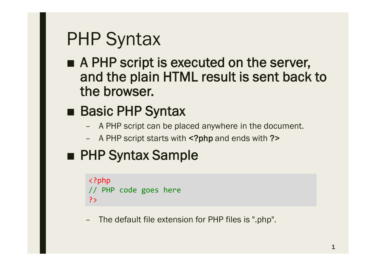- A PHP script is executed on the server, **and the plain HTML result is sent back to the browser.**
- **Basic PHP Syntax** 
	- A PHP script can be placed anywhere in the document.
	- A PHP script starts with **<?php** and ends with **?>**
- **PHP Syntax Sample**

```
<?php
// PHP code goes here
?>
```
The default file extension for PHP files is ".php".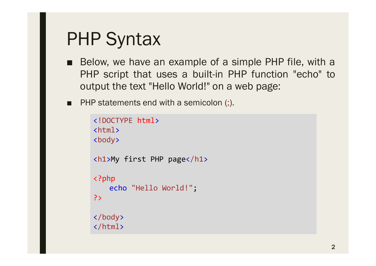- Below, we have an example of a simple PHP file, with a PHP script that uses a built-in PHP function "echo" to output the text "Hello World!" on a web page:
- PHP statements end with a semicolon (;).

```
<!DOCTYPE html>
<html>
<body>
<h1>My first PHP page</h1>
<?php
   echo "Hello World!";
?>
</body>
</html>
```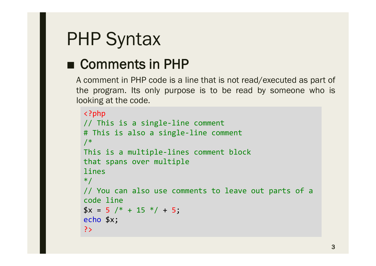#### ■ **Comments in PHP**

A comment in PHP code is a line that is not read/executed as part of the program. Its only purpose is to be read by someone who is looking at the code.

```
<?php
// This is a single-line comment
# This is also a single-line comment
/*
This is a multiple-lines comment block
that spans over multiple
lines
*/
// You can also use comments to leave out parts of a 
code line
$x = 5 \; /^* + 15 \; ^*/ + 5;echo $x;
?>
```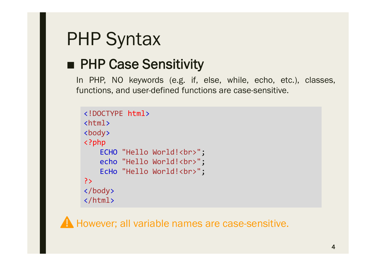#### ■ **PHP Case Sensitivity**

In PHP, NO keywords (e.g. if, else, while, echo, etc.), classes, functions, and user-defined functions are case-sensitive.

```
<!DOCTYPE html>
\langlehtml\rangle<body>
<?php
    ECHO "Hello World!<br>";
    echo "Hello World!<br>";
    EcHo "Hello World!<br>";
?>
</body>
</html>
```
A However; all variable names are case-sensitive.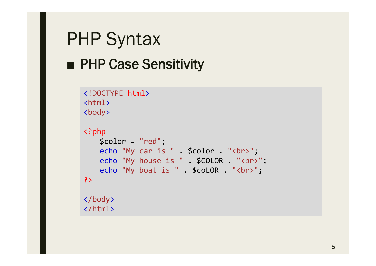# PHP Syntax ■ **PHP Case Sensitivity**

```
<!DOCTYPE html>
<html>
<body>
<?php
   $color = "red";
   echo "My car is " . $color . "<br>";
   echo "My house is " . $COLOR . "<br>";
   echo "My boat is " . $coLOR . "<br>";
?>
</body>
</html>
```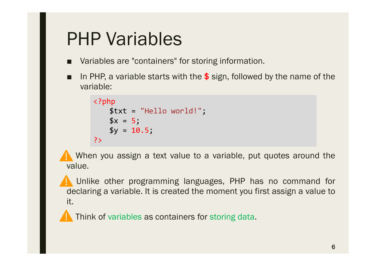### PHP Variables

- Variables are "containers" for storing information.
- In PHP, a variable starts with the \$ sign, followed by the name of the variable:

```
<?php
   $txt = "Hello world!";
   3x = 5;
   $y = 10.5;?>
```
When you assign a text value to a variable, put quotes around the value.

Unlike other programming languages, PHP has no command for declaring a variable. It is created the moment you first assign a value to it.

Think of variables as containers for storing data.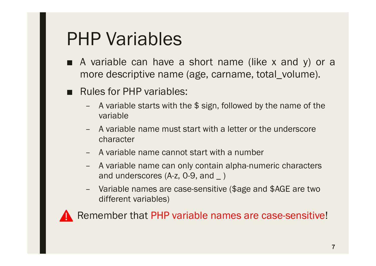### PHP Variables

- A variable can have a short name (like x and y) or a more descriptive name (age, carname, total\_volume).
- Rules for PHP variables:
	- A variable starts with the \$ sign, followed by the name of the variable
	- A variable name must start with a letter or the underscore character
	- A variable name cannot start with a number
	- A variable name can only contain alpha-numeric characters and underscores (A-z, 0-9, and \_ )
	- Variable names are case-sensitive (\$age and \$AGE are two different variables)

Remember that PHP variable names are case-sensitive!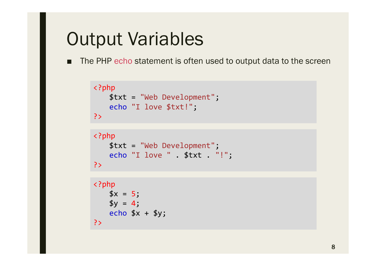### Output Variables

■ The PHP echo statement is often used to output data to the screen

```
<?php
   $txt = "Web Development";
   echo "I love $txt!";
?>
<?php
   $txt = "Web Development";
   echo "I love " . $txt . "!";
?>
```

```
<?php
   $x = 5;$y = 4;echo x + xy;
?>
```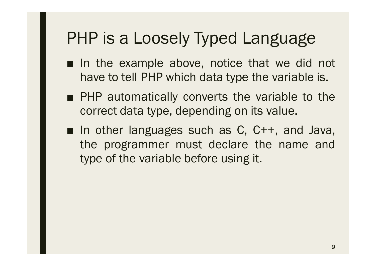#### PHP is a Loosely Typed Language

- In the example above, notice that we did not have to tell PHP which data type the variable is.
- PHP automatically converts the variable to the correct data type, depending on its value.
- In other languages such as C, C++, and Java, the programmer must declare the name and type of the variable before using it.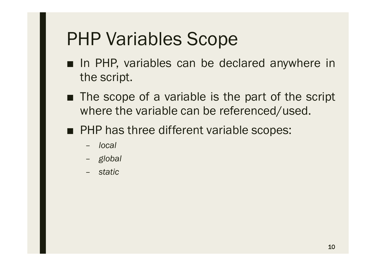### PHP Variables Scope

- In PHP, variables can be declared anywhere in the script.
- The scope of a variable is the part of the script where the variable can be referenced/used.
- PHP has three different variable scopes:
	- *local*
	- *global*
	- *static*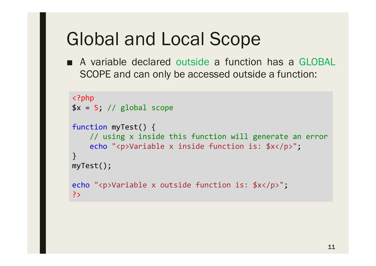## Global and Local Scope

■ A variable declared outside a function has a GLOBAL SCOPE and can only be accessed outside a function:

```
<?php
$x = 5; // global scopefunction myTest() {
    // using x inside this function will generate an error
    echo "<p>Variable x inside function is: $x</p>";
}
myTest();
echo "<p>Variable x outside function is: $x</p>";
?>
```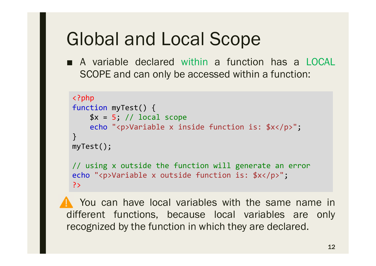## Global and Local Scope

■ A variable declared within a function has a LOCAL SCOPE and can only be accessed within a function:

```
<?php
function myTest() {
    $x = 5; // local scopeecho "<p>Variable x inside function is: $x</p>";
}
myTest();
// using x outside the function will generate an error
echo "<p>Variable x outside function is: $x</p>";
?>
```
You can have local variables with the same name in different functions, because local variables are only recognized by the function in which they are declared.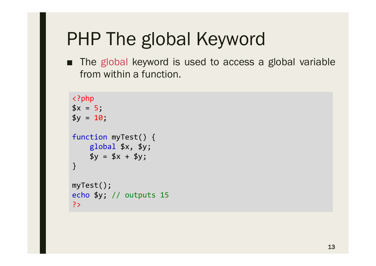# PHP The global Keyword

■ The global keyword is used to access a global variable from within a function.

```
<?php
$x = 5;$y = 10;function myTest() {
    global $x, $y;
    $y = $x + $y;}
myTest();
echo $y; // outputs 15
?>
```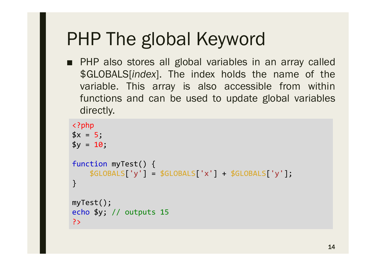# PHP The global Keyword

■ PHP also stores all global variables in an array called \$GLOBALS[*index*]. The index holds the name of the variable. This array is also accessible from within functions and can be used to update global variables directly.

```
<?php
```

```
$x = 5;$y = 10;function myTest() {
    $GLOBALS['y'] = $GLOBALS['x'] + $GLOBALS['y'];
}
myTest();
echo $y; // outputs 15
?>
```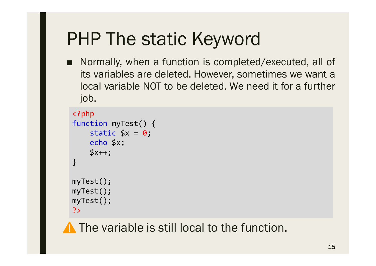# PHP The static Keyword

■ Normally, when a function is completed/executed, all of its variables are deleted. However, sometimes we want a local variable NOT to be deleted. We need it for a further job.

```
<?php
function myTest() {
    static $x = 0;echo $x;
    $x++;}
myTest();
myTest();
myTest();
?>
```
The variable is still local to the function.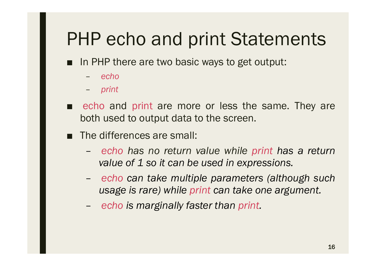#### PHP echo and print Statements

- In PHP there are two basic ways to get output:
	- *echo*
	- *print*
- echo and print are more or less the same. They are both used to output data to the screen.
- The differences are small:
	- *echo has no return value while print has a return value of 1 so it can be used in expressions.*
	- *echo can take multiple parameters (although such usage is rare) while print can take one argument.*
	- *echo is marginally faster than print.*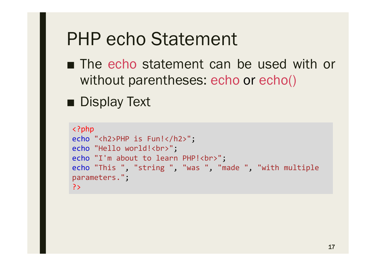#### PHP echo Statement

- The echo statement can be used with or without parentheses: echo or echo()
- Display Text

```
<?php
echo "<h2>PHP is Fun!</h2>";
echo "Hello world!<br>";
echo "I'm about to learn PHP!<br>";
echo "This ", "string ", "was ", "made ", "with multiple 
parameters.";
?>
```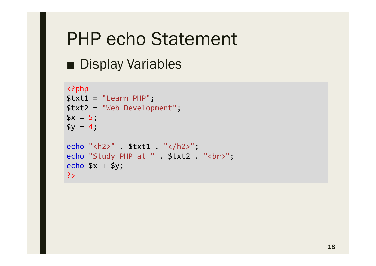# PHP echo Statement ■ Display Variables

```
<?php
$txt1 = "Learn PHP";$txt2 = "Web Development";
$x = 5;$y = 4;echo "<h2>" . $txt1 . "</h2>";
echo "Study PHP at " . $txt2 . "<br>";
echo $x + $y;?>
```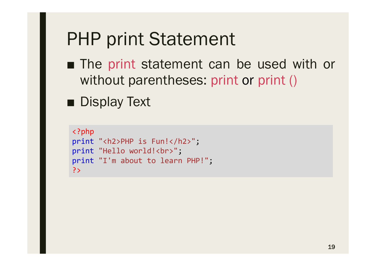## PHP print Statement

- The print statement can be used with or without parentheses: print or print ()
- Display Text

```
<?php
print "<h2>PHP is Fun!</h2>";
print "Hello world!<br>";
print "I'm about to learn PHP!";
?>
```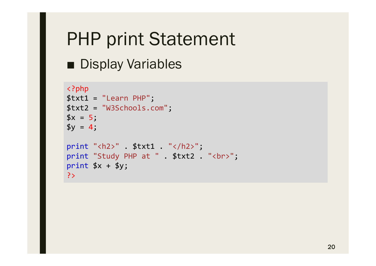# PHP print Statement ■ Display Variables

```
<?php
$txt1 = "Learn PHP";$txt2 = "W3Schools.com";
$x = 5;$y = 4;print "<h2>" . $txt1 . "</h2>";
print "Study PHP at " . $txt2 . "<br>";
print $x + $y;?>
```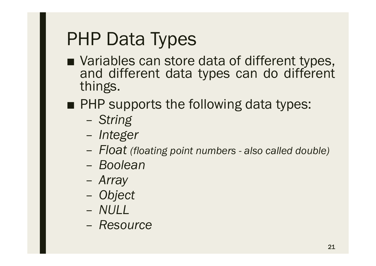# PHP Data Types

- Variables can store data of different types, and different data types can do different things.
- PHP supports the following data types:
	- *String*
	- *Integer*
	- *Float (floating point numbers - also called double)*
	- *Boolean*
	- *Array*
	- *Object*
	- *NULL*
	- *Resource*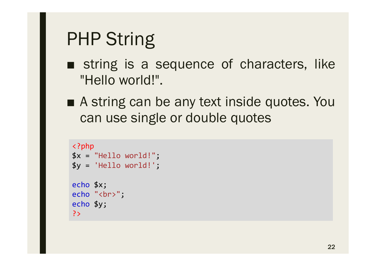# PHP String

- string is a sequence of characters, like "Hello world!".
- A string can be any text inside quotes. You can use single or double quotes

```
<?php
*x = "Hello world!";$y = 'Hello world!';
echo $x;
echo "<br>";
echo $y;
?>
```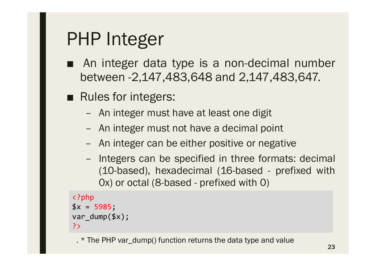# PHP Integer

- An integer data type is a non-decimal number between -2,147,483,648 and 2,147,483,647.
- Rules for integers:
	- An integer must have at least one digit
	- An integer must not have a decimal point
	- An integer can be either positive or negative
	- Integers can be specified in three formats: decimal (10-based), hexadecimal (16-based - prefixed with 0x) or octal (8-based - prefixed with 0)

```
<?php
$x = 5985;
var_dump($x);
?>
```
. \* The PHP var\_dump() function returns the data type and value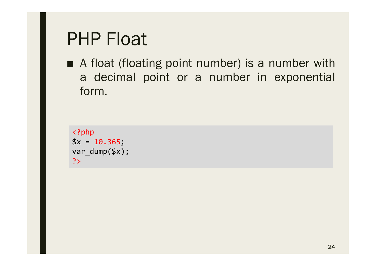### PHP Float

■ A float (floating point number) is a number with a decimal point or a number in exponential form.

<?php  $$x = 10.365;$ var\_dump(\$x); ?>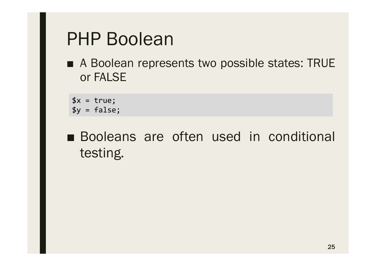#### PHP Boolean

■ A Boolean represents two possible states: TRUE or FALSE

 $$x = true;$ \$y = false;

#### ■ Booleans are often used in conditional testing.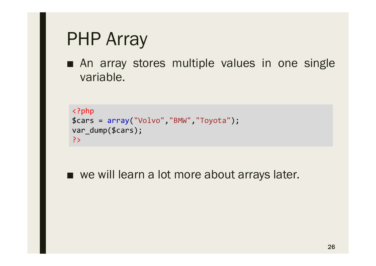# PHP Array

■ An array stores multiple values in one single variable.

```
<?php
$cars = array("Volvo","BMW","Toyota");
var_dump($cars);
?>
```
■ we will learn a lot more about arrays later.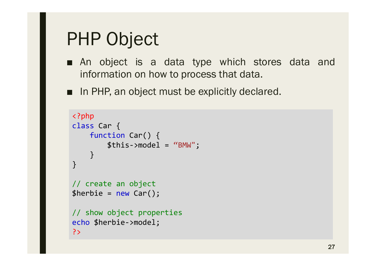### PHP Object

- An object is a data type which stores data and information on how to process that data.
- In PHP, an object must be explicitly declared.

```
<?php
class Car {
    function Car() {
        $this ->model = "BMW";
    }
}
// create an object
$herbie = new Car();// show object properties
echo $herbie->model;
?>
```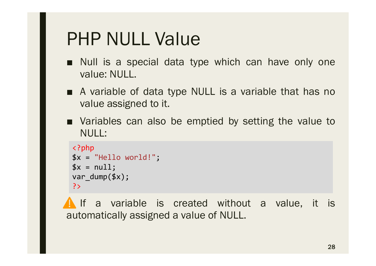## PHP NULL Value

- Null is a special data type which can have only one value: NULL.
- A variable of data type NULL is a variable that has no value assigned to it.
- Variables can also be emptied by setting the value to NULL:

```
<?php
$x = "Hello world!";$x = null;var dump(\frac{1}{2}x);
?>
```
If a variable is created without a value, it is automatically assigned a value of NULL.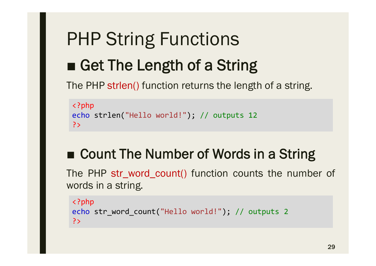# PHP String Functions ■ **Get The Length of a String**

The PHP strlen() function returns the length of a string.

```
<?php
echo strlen("Hello world!"); // outputs 12
?>
```
#### ■ **Count The Number of Words in a String**

The PHP str\_word\_count() function counts the number of words in a string.

```
<?php
echo str_word_count("Hello world!"); // outputs 2
?>
```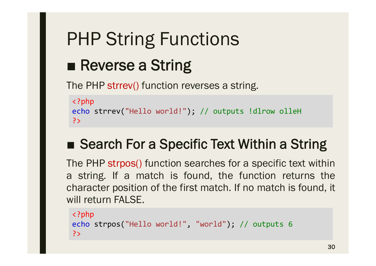# PHP String Functions ■ **Reverse** a String

The PHP strrev() function reverses a string.

```
<?php
echo strrev("Hello world!"); // outputs !dlrow olleH
?>
```
#### ■ **Search For a Specific Text Within a String**

The PHP strpos() function searches for a specific text within a string. If a match is found, the function returns the character position of the first match. If no match is found, it will return FALSE.

```
<?php
echo strpos("Hello world!", "world"); // outputs 6
?>
```